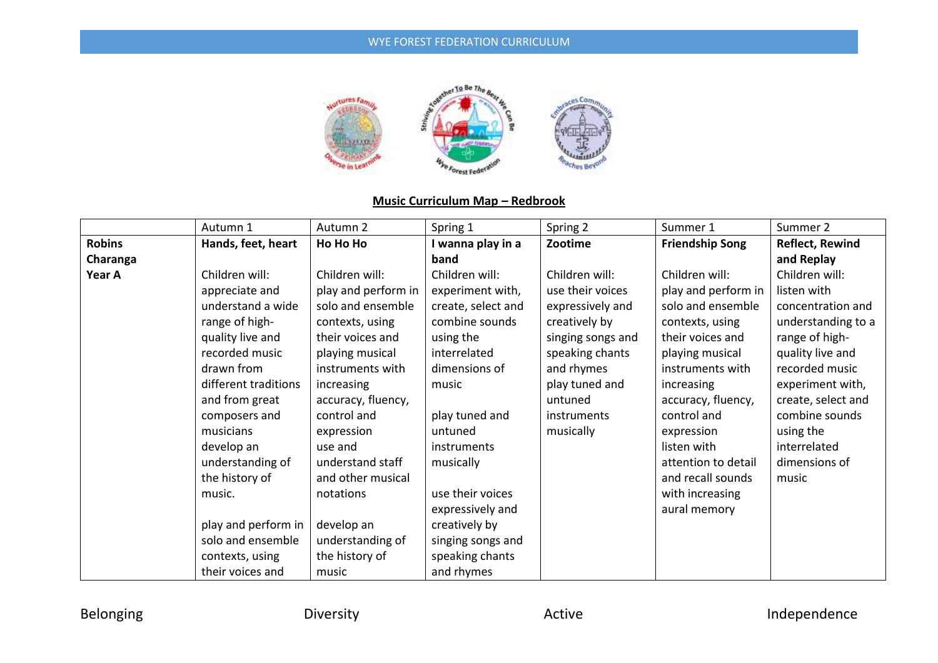

# **Music Curriculum Map – Redbrook**

|               | Autumn 1             | Autumn 2            | Spring 1           | Spring 2          | Summer 1               | Summer 2               |
|---------------|----------------------|---------------------|--------------------|-------------------|------------------------|------------------------|
| <b>Robins</b> | Hands, feet, heart   | Ho Ho Ho            | I wanna play in a  | Zootime           | <b>Friendship Song</b> | <b>Reflect, Rewind</b> |
| Charanga      |                      |                     | band               |                   |                        | and Replay             |
| Year A        | Children will:       | Children will:      | Children will:     | Children will:    | Children will:         | Children will:         |
|               | appreciate and       | play and perform in | experiment with,   | use their voices  | play and perform in    | listen with            |
|               | understand a wide    | solo and ensemble   | create, select and | expressively and  | solo and ensemble      | concentration and      |
|               | range of high-       | contexts, using     | combine sounds     | creatively by     | contexts, using        | understanding to a     |
|               | quality live and     | their voices and    | using the          | singing songs and | their voices and       | range of high-         |
|               | recorded music       | playing musical     | interrelated       | speaking chants   | playing musical        | quality live and       |
|               | drawn from           | instruments with    | dimensions of      | and rhymes        | instruments with       | recorded music         |
|               | different traditions | increasing          | music              | play tuned and    | increasing             | experiment with,       |
|               | and from great       | accuracy, fluency,  |                    | untuned           | accuracy, fluency,     | create, select and     |
|               | composers and        | control and         | play tuned and     | instruments       | control and            | combine sounds         |
|               | musicians            | expression          | untuned            | musically         | expression             | using the              |
|               | develop an           | use and             | instruments        |                   | listen with            | interrelated           |
|               | understanding of     | understand staff    | musically          |                   | attention to detail    | dimensions of          |
|               | the history of       | and other musical   |                    |                   | and recall sounds      | music                  |
|               | music.               | notations           | use their voices   |                   | with increasing        |                        |
|               |                      |                     | expressively and   |                   | aural memory           |                        |
|               | play and perform in  | develop an          | creatively by      |                   |                        |                        |
|               | solo and ensemble    | understanding of    | singing songs and  |                   |                        |                        |
|               | contexts, using      | the history of      | speaking chants    |                   |                        |                        |
|               | their voices and     | music               | and rhymes         |                   |                        |                        |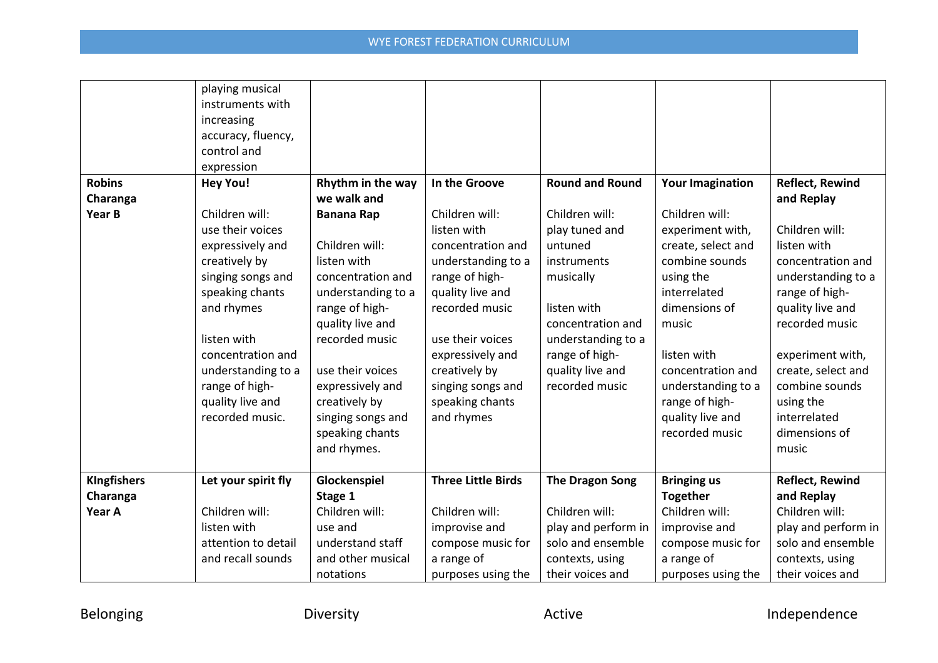|                    | playing musical     |                    |                           |                        |                         |                        |
|--------------------|---------------------|--------------------|---------------------------|------------------------|-------------------------|------------------------|
|                    | instruments with    |                    |                           |                        |                         |                        |
|                    | increasing          |                    |                           |                        |                         |                        |
|                    | accuracy, fluency,  |                    |                           |                        |                         |                        |
|                    | control and         |                    |                           |                        |                         |                        |
|                    | expression          |                    |                           |                        |                         |                        |
| <b>Robins</b>      | <b>Hey You!</b>     | Rhythm in the way  | In the Groove             | <b>Round and Round</b> | <b>Your Imagination</b> | <b>Reflect, Rewind</b> |
| Charanga           |                     | we walk and        |                           |                        |                         | and Replay             |
| Year B             | Children will:      | <b>Banana Rap</b>  | Children will:            | Children will:         | Children will:          |                        |
|                    | use their voices    |                    | listen with               | play tuned and         | experiment with,        | Children will:         |
|                    | expressively and    | Children will:     | concentration and         | untuned                | create, select and      | listen with            |
|                    | creatively by       | listen with        | understanding to a        | instruments            | combine sounds          | concentration and      |
|                    | singing songs and   | concentration and  | range of high-            | musically              | using the               | understanding to a     |
|                    | speaking chants     | understanding to a | quality live and          |                        | interrelated            | range of high-         |
|                    | and rhymes          | range of high-     | recorded music            | listen with            | dimensions of           | quality live and       |
|                    |                     | quality live and   |                           | concentration and      | music                   | recorded music         |
|                    | listen with         | recorded music     | use their voices          | understanding to a     |                         |                        |
|                    | concentration and   |                    | expressively and          | range of high-         | listen with             | experiment with,       |
|                    | understanding to a  | use their voices   | creatively by             | quality live and       | concentration and       | create, select and     |
|                    | range of high-      | expressively and   | singing songs and         | recorded music         | understanding to a      | combine sounds         |
|                    | quality live and    | creatively by      | speaking chants           |                        | range of high-          | using the              |
|                    | recorded music.     | singing songs and  | and rhymes                |                        | quality live and        | interrelated           |
|                    |                     | speaking chants    |                           |                        | recorded music          | dimensions of          |
|                    |                     | and rhymes.        |                           |                        |                         | music                  |
|                    |                     |                    |                           |                        |                         |                        |
| <b>KIngfishers</b> | Let your spirit fly | Glockenspiel       | <b>Three Little Birds</b> | <b>The Dragon Song</b> | <b>Bringing us</b>      | <b>Reflect, Rewind</b> |
| Charanga           |                     | Stage 1            |                           |                        | <b>Together</b>         | and Replay             |
| Year A             | Children will:      | Children will:     | Children will:            | Children will:         | Children will:          | Children will:         |
|                    | listen with         | use and            | improvise and             | play and perform in    | improvise and           | play and perform in    |
|                    | attention to detail | understand staff   | compose music for         | solo and ensemble      | compose music for       | solo and ensemble      |
|                    | and recall sounds   | and other musical  | a range of                | contexts, using        | a range of              | contexts, using        |
|                    |                     | notations          | purposes using the        | their voices and       | purposes using the      | their voices and       |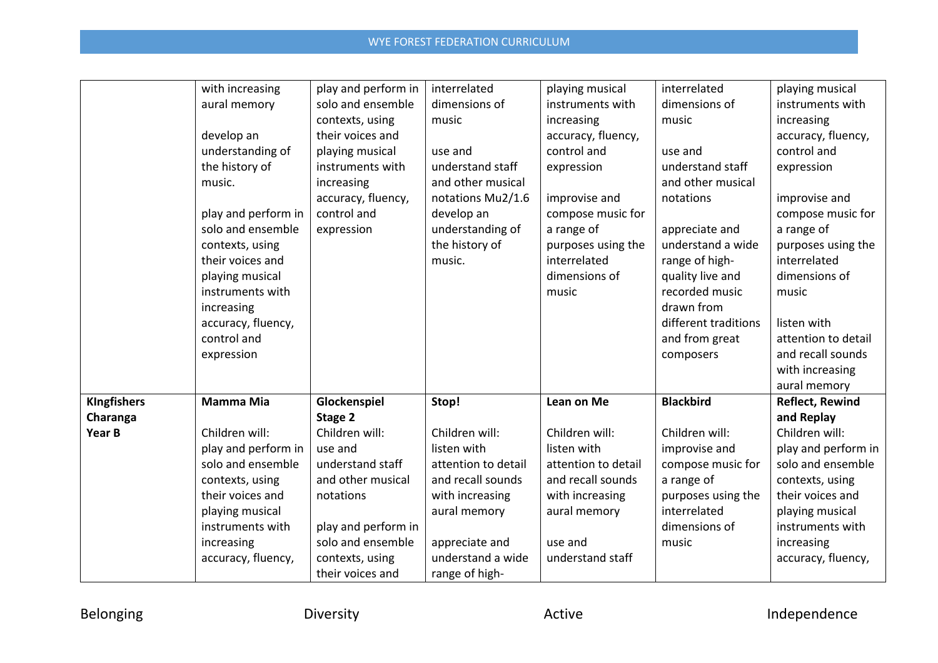|                    | with increasing     | play and perform in | interrelated        | playing musical     | interrelated         | playing musical        |
|--------------------|---------------------|---------------------|---------------------|---------------------|----------------------|------------------------|
|                    | aural memory        | solo and ensemble   | dimensions of       | instruments with    | dimensions of        | instruments with       |
|                    |                     | contexts, using     | music               | increasing          | music                | increasing             |
|                    | develop an          | their voices and    |                     | accuracy, fluency,  |                      | accuracy, fluency,     |
|                    | understanding of    | playing musical     | use and             | control and         | use and              | control and            |
|                    | the history of      | instruments with    | understand staff    | expression          | understand staff     | expression             |
|                    | music.              | increasing          | and other musical   |                     | and other musical    |                        |
|                    |                     | accuracy, fluency,  | notations Mu2/1.6   | improvise and       | notations            | improvise and          |
|                    | play and perform in | control and         | develop an          | compose music for   |                      | compose music for      |
|                    | solo and ensemble   | expression          | understanding of    | a range of          | appreciate and       | a range of             |
|                    | contexts, using     |                     | the history of      | purposes using the  | understand a wide    | purposes using the     |
|                    | their voices and    |                     | music.              | interrelated        | range of high-       | interrelated           |
|                    | playing musical     |                     |                     | dimensions of       | quality live and     | dimensions of          |
|                    | instruments with    |                     |                     | music               | recorded music       | music                  |
|                    | increasing          |                     |                     |                     | drawn from           |                        |
|                    | accuracy, fluency,  |                     |                     |                     | different traditions | listen with            |
|                    | control and         |                     |                     |                     | and from great       | attention to detail    |
|                    | expression          |                     |                     |                     | composers            | and recall sounds      |
|                    |                     |                     |                     |                     |                      | with increasing        |
|                    |                     |                     |                     |                     |                      | aural memory           |
| <b>KIngfishers</b> | <b>Mamma Mia</b>    | Glockenspiel        | Stop!               | Lean on Me          | <b>Blackbird</b>     | <b>Reflect, Rewind</b> |
| Charanga           |                     | Stage 2             |                     |                     |                      | and Replay             |
| Year B             | Children will:      | Children will:      | Children will:      | Children will:      | Children will:       | Children will:         |
|                    | play and perform in | use and             | listen with         | listen with         | improvise and        | play and perform in    |
|                    | solo and ensemble   | understand staff    | attention to detail | attention to detail | compose music for    | solo and ensemble      |
|                    | contexts, using     | and other musical   | and recall sounds   | and recall sounds   | a range of           | contexts, using        |
|                    | their voices and    | notations           | with increasing     | with increasing     | purposes using the   | their voices and       |
|                    | playing musical     |                     | aural memory        | aural memory        | interrelated         | playing musical        |
|                    | instruments with    | play and perform in |                     |                     | dimensions of        | instruments with       |
|                    | increasing          | solo and ensemble   | appreciate and      | use and             | music                | increasing             |
|                    | accuracy, fluency,  | contexts, using     | understand a wide   | understand staff    |                      | accuracy, fluency,     |
|                    |                     | their voices and    | range of high-      |                     |                      |                        |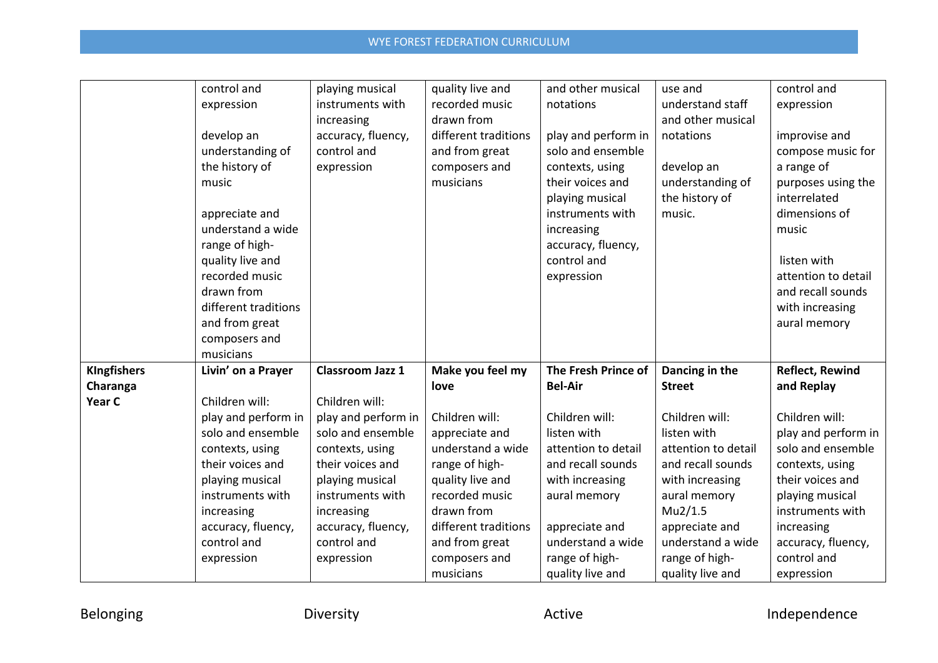|                    | control and          | playing musical     | quality live and     | and other musical   | use and             | control and            |
|--------------------|----------------------|---------------------|----------------------|---------------------|---------------------|------------------------|
|                    | expression           | instruments with    | recorded music       | notations           | understand staff    | expression             |
|                    |                      | increasing          | drawn from           |                     | and other musical   |                        |
|                    | develop an           | accuracy, fluency,  | different traditions | play and perform in | notations           | improvise and          |
|                    | understanding of     | control and         | and from great       | solo and ensemble   |                     | compose music for      |
|                    | the history of       | expression          | composers and        | contexts, using     | develop an          | a range of             |
|                    | music                |                     | musicians            | their voices and    | understanding of    | purposes using the     |
|                    |                      |                     |                      | playing musical     | the history of      | interrelated           |
|                    | appreciate and       |                     |                      | instruments with    | music.              | dimensions of          |
|                    | understand a wide    |                     |                      | increasing          |                     | music                  |
|                    | range of high-       |                     |                      | accuracy, fluency,  |                     |                        |
|                    | quality live and     |                     |                      | control and         |                     | listen with            |
|                    | recorded music       |                     |                      | expression          |                     | attention to detail    |
|                    | drawn from           |                     |                      |                     |                     | and recall sounds      |
|                    | different traditions |                     |                      |                     |                     | with increasing        |
|                    | and from great       |                     |                      |                     |                     | aural memory           |
|                    | composers and        |                     |                      |                     |                     |                        |
|                    | musicians            |                     |                      |                     |                     |                        |
| <b>KIngfishers</b> | Livin' on a Prayer   | Classroom Jazz 1    | Make you feel my     | The Fresh Prince of | Dancing in the      | <b>Reflect, Rewind</b> |
| Charanga           |                      |                     | love                 | <b>Bel-Air</b>      | <b>Street</b>       | and Replay             |
| Year C             | Children will:       | Children will:      |                      |                     |                     |                        |
|                    | play and perform in  | play and perform in | Children will:       | Children will:      | Children will:      | Children will:         |
|                    | solo and ensemble    | solo and ensemble   | appreciate and       | listen with         | listen with         | play and perform in    |
|                    | contexts, using      | contexts, using     | understand a wide    | attention to detail | attention to detail | solo and ensemble      |
|                    | their voices and     | their voices and    | range of high-       | and recall sounds   | and recall sounds   | contexts, using        |
|                    | playing musical      | playing musical     | quality live and     | with increasing     | with increasing     | their voices and       |
|                    | instruments with     | instruments with    | recorded music       | aural memory        | aural memory        | playing musical        |
|                    | increasing           | increasing          | drawn from           |                     | Mu2/1.5             | instruments with       |
|                    | accuracy, fluency,   | accuracy, fluency,  | different traditions | appreciate and      | appreciate and      | increasing             |
|                    | control and          | control and         | and from great       | understand a wide   | understand a wide   | accuracy, fluency,     |
|                    | expression           | expression          | composers and        | range of high-      | range of high-      | control and            |
|                    |                      |                     | musicians            | quality live and    | quality live and    | expression             |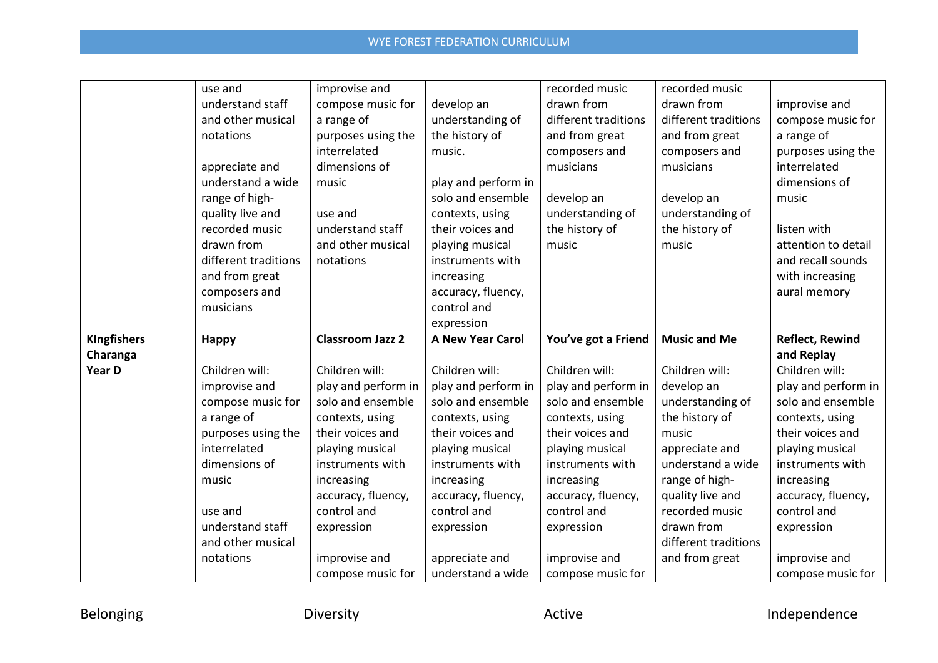|                    | use and              | improvise and           |                                     | recorded music       | recorded music       |                        |
|--------------------|----------------------|-------------------------|-------------------------------------|----------------------|----------------------|------------------------|
|                    | understand staff     | compose music for       | develop an                          | drawn from           | drawn from           | improvise and          |
|                    | and other musical    | a range of              | understanding of                    | different traditions | different traditions | compose music for      |
|                    | notations            | purposes using the      | the history of                      | and from great       | and from great       | a range of             |
|                    |                      | interrelated            | music.                              | composers and        | composers and        | purposes using the     |
|                    | appreciate and       | dimensions of           |                                     | musicians            | musicians            | interrelated           |
|                    | understand a wide    | music                   | play and perform in                 |                      |                      | dimensions of          |
|                    | range of high-       |                         | solo and ensemble                   | develop an           | develop an           | music                  |
|                    | quality live and     | use and                 | contexts, using                     | understanding of     | understanding of     |                        |
|                    | recorded music       | understand staff        | their voices and                    | the history of       | the history of       | listen with            |
|                    | drawn from           | and other musical       | playing musical                     | music                | music                | attention to detail    |
|                    | different traditions | notations               | instruments with                    |                      |                      | and recall sounds      |
|                    | and from great       |                         | increasing                          |                      |                      | with increasing        |
|                    | composers and        |                         | accuracy, fluency,                  |                      |                      | aural memory           |
|                    | musicians            |                         | control and                         |                      |                      |                        |
|                    |                      |                         | expression                          |                      |                      |                        |
|                    |                      |                         |                                     |                      |                      |                        |
| <b>KIngfishers</b> | <b>Happy</b>         | <b>Classroom Jazz 2</b> | <b>A New Year Carol</b>             | You've got a Friend  | <b>Music and Me</b>  | <b>Reflect, Rewind</b> |
| Charanga           |                      |                         |                                     |                      |                      | and Replay             |
| Year D             | Children will:       | Children will:          | Children will:                      | Children will:       | Children will:       | Children will:         |
|                    | improvise and        | play and perform in     | play and perform in                 | play and perform in  | develop an           | play and perform in    |
|                    | compose music for    | solo and ensemble       | solo and ensemble                   | solo and ensemble    | understanding of     | solo and ensemble      |
|                    | a range of           | contexts, using         | contexts, using                     | contexts, using      | the history of       | contexts, using        |
|                    | purposes using the   | their voices and        | their voices and                    | their voices and     | music                | their voices and       |
|                    | interrelated         | playing musical         | playing musical                     | playing musical      | appreciate and       | playing musical        |
|                    | dimensions of        | instruments with        | instruments with                    | instruments with     | understand a wide    | instruments with       |
|                    | music                | increasing              | increasing                          | increasing           | range of high-       | increasing             |
|                    |                      | accuracy, fluency,      | accuracy, fluency,                  | accuracy, fluency,   | quality live and     | accuracy, fluency,     |
|                    | use and              | control and             | control and                         | control and          | recorded music       | control and            |
|                    | understand staff     | expression              | expression                          | expression           | drawn from           | expression             |
|                    | and other musical    |                         |                                     |                      | different traditions |                        |
|                    | notations            | improvise and           | appreciate and<br>understand a wide | improvise and        | and from great       | improvise and          |